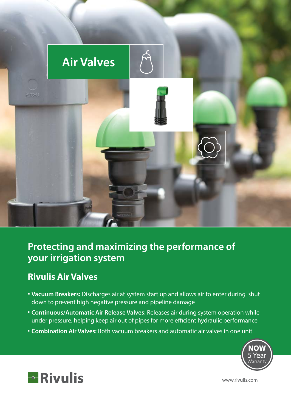

#### **Protecting and maximizing the performance of your irrigation system**

#### **Rivulis Air Valves**

- **Vacuum Breakers:** Discharges air at system start up and allows air to enter during shut down to prevent high negative pressure and pipeline damage
- **EXECTE: Continuous/Automatic Air Release Valves: Releases air during system operation while** under pressure, helping keep air out of pipes for more efficient hydraulic performance
- **Combination Air Valves:** Both vacuum breakers and automatic air valves in one unit





www.rivulis.com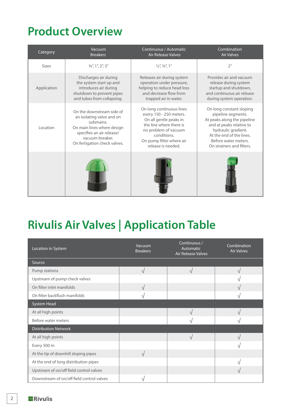### **Product Overview**

| Category     | Vacuum<br><b>Breakers</b>                                                                                                                                                         | Continuous / Automatic<br>Air Release Valves                                                                                                                                                      | Combination<br><b>Air Valves</b>                                                                                                                                                                                  |
|--------------|-----------------------------------------------------------------------------------------------------------------------------------------------------------------------------------|---------------------------------------------------------------------------------------------------------------------------------------------------------------------------------------------------|-------------------------------------------------------------------------------------------------------------------------------------------------------------------------------------------------------------------|
| <b>Sizes</b> | $3/4$ ", 1", 2", 3"                                                                                                                                                               | $\frac{1}{2}$ , $\frac{3}{4}$ , $\frac{1}{7}$                                                                                                                                                     | 2 <sup>n</sup>                                                                                                                                                                                                    |
| Application  | Discharges air during<br>the system start up and<br>introduces air during<br>shutdown to prevent pipes<br>and tubes from collapsing.                                              | Releases air during system<br>operation under pressure,<br>helping to reduce head loss<br>and decrease flow from<br>trapped air in water.                                                         | Provides air and vacuum<br>release during system<br>startup and shutdown,<br>and continuous air release<br>during system operation.                                                                               |
| Location     | On the downstream side of<br>an isolating valve and on<br>submains.<br>On main lines where design<br>specifies an air release/<br>vacuum breaker.<br>On fertigation check valves. | On long continuous lines<br>every 150 - 250 meters.<br>On all gentle peaks in<br>the line where there is<br>no problem of vacuum<br>conditions.<br>On pump filter where air<br>release is needed. | On long constant sloping<br>pipeline segments.<br>At peaks along the pipeline<br>and at peaks relative to<br>hydraulic gradient.<br>At the end of the lines.<br>Before water meters.<br>On strainers and filters. |
|              |                                                                                                                                                                                   |                                                                                                                                                                                                   |                                                                                                                                                                                                                   |

# **Rivulis Air Valves | Application Table**

| Location in System                        | Vacuum<br><b>Breakers</b> | Continuous /<br>Automatic<br><b>Air Release Valves</b> | Combination<br><b>Air Valves</b> |
|-------------------------------------------|---------------------------|--------------------------------------------------------|----------------------------------|
| Source                                    |                           |                                                        |                                  |
| Pump stations                             | $\sqrt{ }$                | $\sqrt{ }$                                             | $\sqrt{ }$                       |
| Upstream of pump check valves             |                           |                                                        |                                  |
| On filter inlet manifolds                 | $\sqrt{ }$                |                                                        | $\sqrt{}$                        |
| On filter backflush manifolds             | ٦                         |                                                        | N                                |
| System Head                               |                           |                                                        |                                  |
| At all high points                        |                           | $\sqrt{ }$                                             | $\sqrt{ }$                       |
| Before water meters                       |                           | $\sqrt{}$                                              |                                  |
| <b>Distribution Network</b>               |                           |                                                        |                                  |
| At all high points                        |                           | $\sqrt{ }$                                             |                                  |
| Every 500 m                               |                           |                                                        |                                  |
| At the tip of downhill sloping pipes      | $\sqrt{ }$                |                                                        |                                  |
| At the end of long distribution pipes     |                           |                                                        | $\mathcal{L}$                    |
| Upstream of on/off field control valves   |                           |                                                        |                                  |
| Downstream of on/off field control valves | J.                        |                                                        |                                  |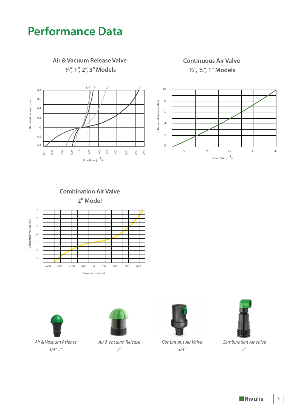### **Performance Data**



**Combination Air Valve 2" Model**





Air & Vacuum Release *3/4" 1"*



*Air & Vacuum Release 2"*



*Continuous Air Valve 3/4"*



*Combination Air Valve 2"*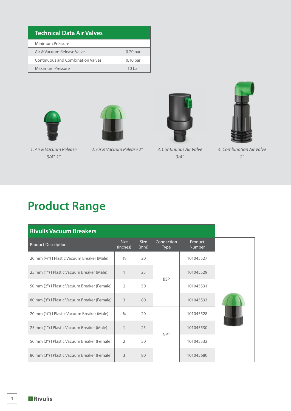| Technical Data Air Valves                |                   |  |  |  |  |
|------------------------------------------|-------------------|--|--|--|--|
| Minimum Pressure                         |                   |  |  |  |  |
| Air & Vacuum Release Valve               | $0.20$ bar        |  |  |  |  |
| <b>Continuous and Combination Valves</b> | $0.10$ bar        |  |  |  |  |
| Maximum Pressure                         | 10 <sub>har</sub> |  |  |  |  |









*1. Air & Vacuum Release 3/4" 1"*

*2. Air & Vacuum Release 2" 3. Continuous Air Valve* 

*3/4"*

*4. Combination Air Valve 2"*

## **Product Range**

| <b>Rivulis Vacuum Breakers</b>               |                         |                     |                           |                          |  |
|----------------------------------------------|-------------------------|---------------------|---------------------------|--------------------------|--|
| <b>Product Description</b>                   | <b>Size</b><br>(inches) | <b>Size</b><br>(mm) | Connection<br><b>Type</b> | Product<br><b>Number</b> |  |
| 20 mm (34") I Plastic Vacuum Breaker (Male)  | $\frac{3}{4}$           | 20                  | <b>BSP</b>                | 101045527                |  |
| 25 mm (1") I Plastic Vacuum Breaker (Male)   | $\mathbf{1}$            | 25                  |                           | 101045529                |  |
| 50 mm (2") I Plastic Vacuum Breaker (Female) | $\overline{2}$          | 50                  |                           | 101045531                |  |
| 80 mm (3") I Plastic Vacuum Breaker (Female) | 3                       | 80                  |                           | 101045533                |  |
| 20 mm (34") I Plastic Vacuum Breaker (Male)  | 3/4                     | 20                  | <b>NPT</b>                | 101045528                |  |
| 25 mm (1") I Plastic Vacuum Breaker (Male)   | $\mathbf{1}$            | 25                  |                           | 101045530                |  |
| 50 mm (2") I Plastic Vacuum Breaker (Female) | $\mathcal{P}$           | 50                  |                           | 101045532                |  |
| 80 mm (3") I Plastic Vacuum Breaker (Female) | 3                       | 80                  |                           | 101045680                |  |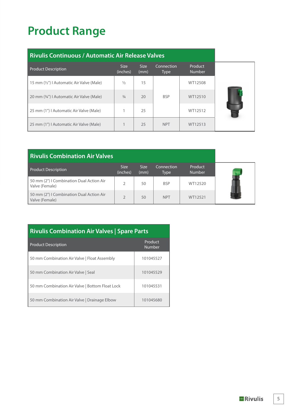# **Product Range**

| <b>Rivulis Continuous / Automatic Air Release Valves</b> |                  |                     |                           |                          |  |
|----------------------------------------------------------|------------------|---------------------|---------------------------|--------------------------|--|
| <b>Product Description</b>                               | Size<br>(inches) | <b>Size</b><br>(mm) | Connection<br><b>Type</b> | Product<br><b>Number</b> |  |
| 15 mm (1/2") I Automatic Air Valve (Male)                | $\frac{1}{2}$    | 15                  |                           | WT12508                  |  |
| 20 mm (34") I Automatic Air Valve (Male)                 | $\frac{3}{4}$    | 20                  | <b>BSP</b>                | WT12510                  |  |
| 25 mm (1")   Automatic Air Valve (Male)                  |                  | 25                  |                           | WT12512                  |  |
| 25 mm (1") I Automatic Air Valve (Male)                  |                  | 25                  | <b>NPT</b>                | WT12513                  |  |

| <b>Rivulis Combination Air Valves</b>                      |                         |                     |                    |                          |  |
|------------------------------------------------------------|-------------------------|---------------------|--------------------|--------------------------|--|
| <b>Product Description</b>                                 | <b>Size</b><br>(inches) | <b>Size</b><br>(mm) | Connection<br>Type | Product<br><b>Number</b> |  |
| 50 mm (2") I Combination Dual Action Air<br>Valve (Female) |                         | 50                  | <b>BSP</b>         | WT12520                  |  |
| 50 mm (2") I Combination Dual Action Air<br>Valve (Female) |                         | 50                  | <b>NPT</b>         | WT12521                  |  |

| <b>Rivulis Combination Air Valves   Spare Parts</b> |                   |  |  |  |
|-----------------------------------------------------|-------------------|--|--|--|
| <b>Product Description</b>                          | Product<br>Number |  |  |  |
| 50 mm Combination Air Valve   Float Assembly        | 101045527         |  |  |  |
| 50 mm Combination Air Valve   Seal                  | 101045529         |  |  |  |
| 50 mm Combination Air Valve   Bottom Float Lock     | 101045531         |  |  |  |
| 50 mm Combination Air Valve   Drainage Elbow        | 101045680         |  |  |  |